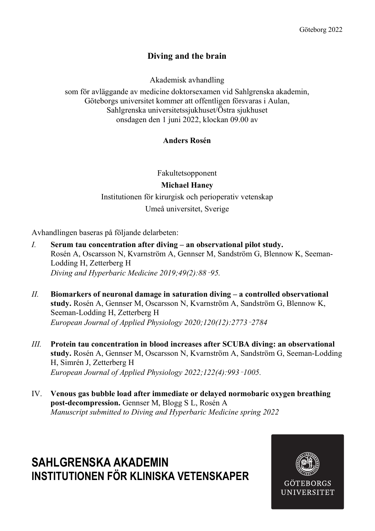# Diving and the brain

Akademisk avhandling

som för avläggande av medicine doktorsexamen vid Sahlgrenska akademin, Göteborgs universitet kommer att offentligen försvaras i Aulan, Sahlgrenska universitetssjukhuset/Östra sjukhuset onsdagen den 1 juni 2022, klockan 09.00 av

## Anders Rosén

Fakultetsopponent

## Michael Haney

Institutionen för kirurgisk och perioperativ vetenskap Umeå universitet, Sverige

Avhandlingen baseras på följande delarbeten:

- I. Serum tau concentration after diving an observational pilot study. Rosén A, Oscarsson N, Kvarnström A, Gennser M, Sandström G, Blennow K, Seeman-Lodding H, Zetterberg H Diving and Hyperbaric Medicine 2019;49(2):88–95.
- $II.$  Biomarkers of neuronal damage in saturation diving  $-$  a controlled observational study. Rosén A, Gennser M, Oscarsson N, Kvarnström A, Sandström G, Blennow K, Seeman-Lodding H, Zetterberg H European Journal of Applied Physiology 2020;120(12):2773–2784
- III. Protein tau concentration in blood increases after SCUBA diving: an observational study. Rosén A, Gennser M, Oscarsson N, Kvarnström A, Sandström G, Seeman-Lodding H, Simrén J, Zetterberg H European Journal of Applied Physiology 2022;122(4):993–1005.
- IV. Venous gas bubble load after immediate or delayed normobaric oxygen breathing post-decompression. Gennser M, Blogg S L, Rosén A Manuscript submitted to Diving and Hyperbaric Medicine spring 2022

# SAHI GRENSKA AKADEMIN INSTITUTIONEN FÖR KLINISKA VETENSKAPER